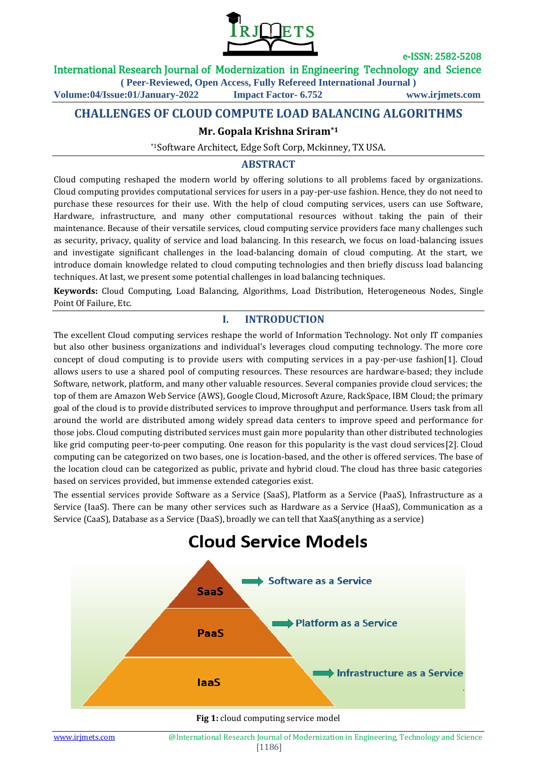

# International Research Journal of Modernization in Engineering Technology and Science

**( Peer-Reviewed, Open Access, Fully Refereed International Journal )**

**Volume:04/Issue:01/January-2022 Impact Factor- 6.752 www.irjmets.com**

# **CHALLENGES OF CLOUD COMPUTE LOAD BALANCING ALGORITHMS**

## **Mr. Gopala Krishna Sriram\*1**

\*1Software Architect, Edge Soft Corp, Mckinney, TX USA.

# **ABSTRACT**

Cloud computing reshaped the modern world by offering solutions to all problems faced by organizations. Cloud computing provides computational services for users in a pay-per-use fashion. Hence, they do not need to purchase these resources for their use. With the help of cloud computing services, users can use Software, Hardware, infrastructure, and many other computational resources without taking the pain of their maintenance. Because of their versatile services, cloud computing service providers face many challenges such as security, privacy, quality of service and load balancing. In this research, we focus on load-balancing issues and investigate significant challenges in the load-balancing domain of cloud computing. At the start, we introduce domain knowledge related to cloud computing technologies and then briefly discuss load balancing techniques. At last, we present some potential challenges in load balancing techniques.

**Keywords:** Cloud Computing, Load Balancing, Algorithms, Load Distribution, Heterogeneous Nodes, Single Point Of Failure, Etc.

## **I. INTRODUCTION**

The excellent Cloud computing services reshape the world of Information Technology. Not only IT companies but also other business organizations and individual's leverages cloud computing technology. The more core concept of cloud computing is to provide users with computing services in a pay-per-use fashion[1]. Cloud allows users to use a shared pool of computing resources. These resources are hardware-based; they include Software, network, platform, and many other valuable resources. Several companies provide cloud services; the top of them are Amazon Web Service (AWS), Google Cloud, Microsoft Azure, RackSpace, IBM Cloud; the primary goal of the cloud is to provide distributed services to improve throughput and performance. Users task from all around the world are distributed among widely spread data centers to improve speed and performance for those jobs. Cloud computing distributed services must gain more popularity than other distributed technologies like grid computing peer-to-peer computing. One reason for this popularity is the vast cloud services[2]. Cloud computing can be categorized on two bases, one is location-based, and the other is offered services. The base of the location cloud can be categorized as public, private and hybrid cloud. The cloud has three basic categories based on services provided, but immense extended categories exist.

The essential services provide Software as a Service (SaaS), Platform as a Service (PaaS), Infrastructure as a Service (IaaS). There can be many other services such as Hardware as a Service (HaaS), Communication as a Service (CaaS), Database as a Service (DaaS), broadly we can tell that XaaS(anything as a service)

# **Cloud Service Models**



**Fig 1:** cloud computing service model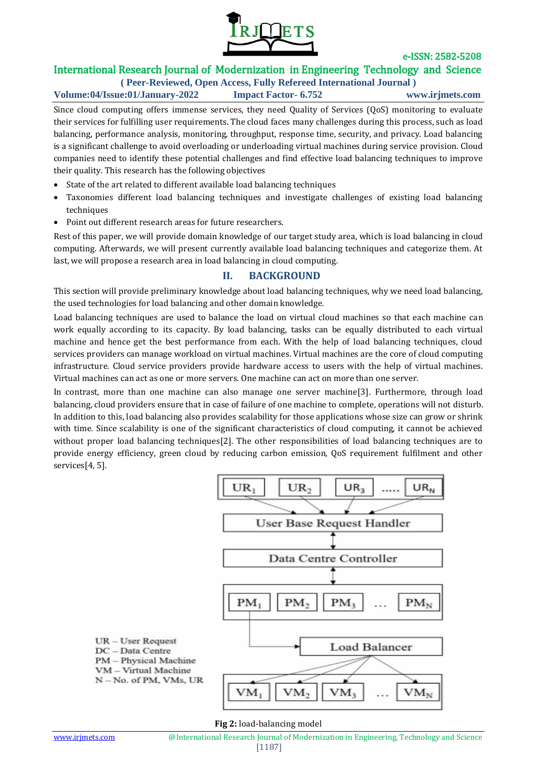

# International Research Journal of Modernization in Engineering Technology and Science

#### **( Peer-Reviewed, Open Access, Fully Refereed International Journal ) Volume:04/Issue:01/January-2022 Impact Factor- 6.752 www.irjmets.com**

Since cloud computing offers immense services, they need Quality of Services (QoS) monitoring to evaluate their services for fulfilling user requirements. The cloud faces many challenges during this process, such as load balancing, performance analysis, monitoring, throughput, response time, security, and privacy. Load balancing is a significant challenge to avoid overloading or underloading virtual machines during service provision. Cloud companies need to identify these potential challenges and find effective load balancing techniques to improve their quality. This research has the following objectives

- State of the art related to different available load balancing techniques
- Taxonomies different load balancing techniques and investigate challenges of existing load balancing techniques
- Point out different research areas for future researchers.

Rest of this paper, we will provide domain knowledge of our target study area, which is load balancing in cloud computing. Afterwards, we will present currently available load balancing techniques and categorize them. At last, we will propose a research area in load balancing in cloud computing.

## **II. BACKGROUND**

This section will provide preliminary knowledge about load balancing techniques, why we need load balancing, the used technologies for load balancing and other domain knowledge.

Load balancing techniques are used to balance the load on virtual cloud machines so that each machine can work equally according to its capacity. By load balancing, tasks can be equally distributed to each virtual machine and hence get the best performance from each. With the help of load balancing techniques, cloud services providers can manage workload on virtual machines. Virtual machines are the core of cloud computing infrastructure. Cloud service providers provide hardware access to users with the help of virtual machines. Virtual machines can act as one or more servers. One machine can act on more than one server.

In contrast, more than one machine can also manage one server machine[3]. Furthermore, through load balancing, cloud providers ensure that in case of failure of one machine to complete, operations will not disturb. In addition to this, load balancing also provides scalability for those applications whose size can grow or shrink with time. Since scalability is one of the significant characteristics of cloud computing, it cannot be achieved without proper load balancing techniques[2]. The other responsibilities of load balancing techniques are to provide energy efficiency, green cloud by reducing carbon emission, QoS requirement fulfilment and other services[4, 5].



**Fig 2:** load-balancing model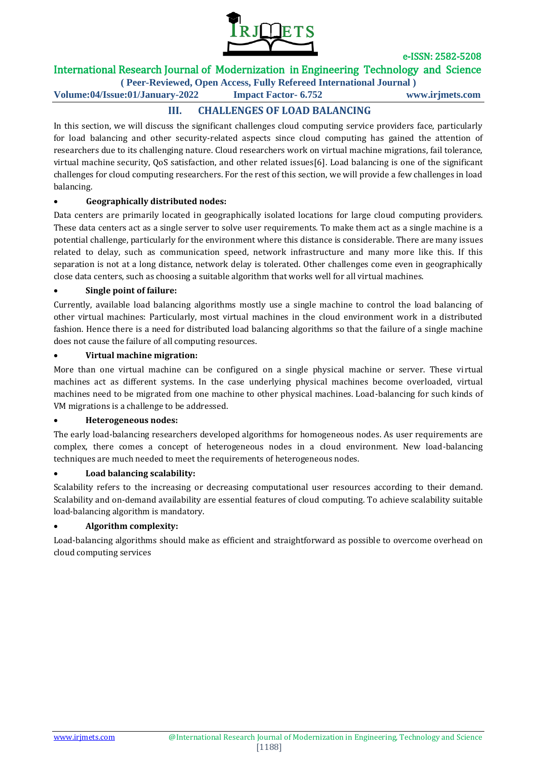

# International Research Journal of Modernization in Engineering Technology and Science

**( Peer-Reviewed, Open Access, Fully Refereed International Journal )**

**Volume:04/Issue:01/January-2022 Impact Factor- 6.752 www.irjmets.com**

# **III. CHALLENGES OF LOAD BALANCING**

In this section, we will discuss the significant challenges cloud computing service providers face, particularly for load balancing and other security-related aspects since cloud computing has gained the attention of researchers due to its challenging nature. Cloud researchers work on virtual machine migrations, fail tolerance, virtual machine security, QoS satisfaction, and other related issues[6]. Load balancing is one of the significant challenges for cloud computing researchers. For the rest of this section, we will provide a few challenges in load balancing.

# **Geographically distributed nodes:**

Data centers are primarily located in geographically isolated locations for large cloud computing providers. These data centers act as a single server to solve user requirements. To make them act as a single machine is a potential challenge, particularly for the environment where this distance is considerable. There are many issues related to delay, such as communication speed, network infrastructure and many more like this. If this separation is not at a long distance, network delay is tolerated. Other challenges come even in geographically close data centers, such as choosing a suitable algorithm that works well for all virtual machines.

#### **Single point of failure:**

Currently, available load balancing algorithms mostly use a single machine to control the load balancing of other virtual machines: Particularly, most virtual machines in the cloud environment work in a distributed fashion. Hence there is a need for distributed load balancing algorithms so that the failure of a single machine does not cause the failure of all computing resources.

#### **Virtual machine migration:**

More than one virtual machine can be configured on a single physical machine or server. These virtual machines act as different systems. In the case underlying physical machines become overloaded, virtual machines need to be migrated from one machine to other physical machines. Load-balancing for such kinds of VM migrations is a challenge to be addressed.

#### **Heterogeneous nodes:**

The early load-balancing researchers developed algorithms for homogeneous nodes. As user requirements are complex, there comes a concept of heterogeneous nodes in a cloud environment. New load-balancing techniques are much needed to meet the requirements of heterogeneous nodes.

#### **Load balancing scalability:**

Scalability refers to the increasing or decreasing computational user resources according to their demand. Scalability and on-demand availability are essential features of cloud computing. To achieve scalability suitable load-balancing algorithm is mandatory.

#### **Algorithm complexity:**

Load-balancing algorithms should make as efficient and straightforward as possible to overcome overhead on cloud computing services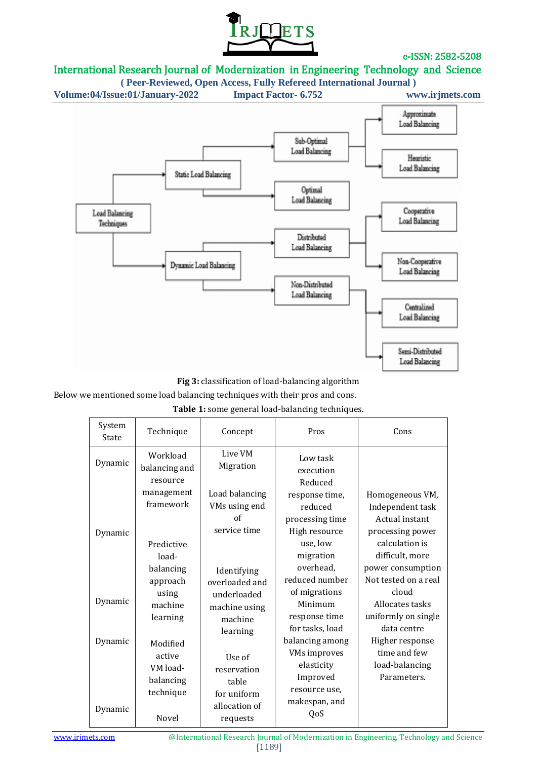

# International Research Journal of Modernization in Engineering Technology and Science

**( Peer-Reviewed, Open Access, Fully Refereed International Journal )**

**Volume:04/Issue:01/January-2022 Impact Factor- 6.752 www.irjmets.com**



**Fig 3:** classification of load-balancing algorithm

Below we mentioned some load balancing techniques with their pros and cons.

| System<br>State    | Technique                                                                    | Concept                                                                                | Pros                                                                                                                         | Cons                                                                                                                              |
|--------------------|------------------------------------------------------------------------------|----------------------------------------------------------------------------------------|------------------------------------------------------------------------------------------------------------------------------|-----------------------------------------------------------------------------------------------------------------------------------|
| Dynamic            | Workload<br>balancing and<br>resource                                        | Live VM<br>Migration                                                                   | Low task<br>execution<br>Reduced                                                                                             |                                                                                                                                   |
| Dynamic            | management<br>framework                                                      | Load balancing<br>VMs using end<br>of<br>service time                                  | response time,<br>reduced<br>processing time<br>High resource                                                                | Homogeneous VM,<br>Independent task<br>Actual instant<br>processing power                                                         |
| Dynamic            | Predictive<br>load-<br>balancing<br>approach<br>using<br>machine<br>learning | Identifying<br>overloaded and<br>underloaded<br>machine using<br>machine               | use, low<br>migration<br>overhead,<br>reduced number<br>of migrations<br>Minimum<br>response time                            | calculation is<br>difficult, more<br>power consumption<br>Not tested on a real<br>cloud<br>Allocates tasks<br>uniformly on single |
| Dynamic<br>Dynamic | Modified<br>active<br>VM load-<br>balancing<br>technique<br><b>Novel</b>     | learning<br>Use of<br>reservation<br>table<br>for uniform<br>allocation of<br>requests | for tasks, load<br>balancing among<br><b>VMs</b> improves<br>elasticity<br>Improved<br>resource use,<br>makespan, and<br>QoS | data centre<br>Higher response<br>time and few<br>load-balancing<br>Parameters.                                                   |